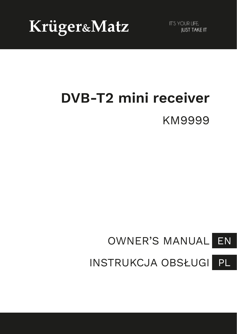Krüger&Matz

**IT'S YOUR LIFE. IUST TAKE IT** 

# **DVB-T2 mini receiver** KM9999

#### EN OWNER'S MANUAL

PL INSTRUKCJA OBSŁUGI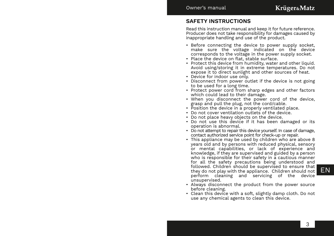### **SAFETY INSTRUCTIONS**

Read this instruction manual and keep it for future reference. Producer does not take responsibility for damages caused by inappropriate handling and use of the product.

- Before connecting the device to power supply socket, make sure the voltage indicated on the device corresponds to the voltage in the power supply socket.
- Place the device on flat, stable surface.
- Protect this device from humidity, water and other liquid. Avoid using/storing it in extreme temperatures. Do not expose it to direct sunlight and other sources of heat.
- Device for indoor use only.
- Disconnect from power outlet if the device is not going to be used for a long time.
- Protect power cord from sharp edges and other factors which could lead to their damage.
- When you disconnect the power cord of the device, grasp and pull the plug, not the cord/cable.
- Position the device in a properly ventilated place.
- Do not cover ventilation outlets of the device.
- Do not place heavy objects on the device.
- Do not use this device if it has been damaged or its operation is abnormal.
- Do not attempt to repair this device yourself. In case of damage, contact authorized service point for check-up or repair.
- $\frac{1}{2}$  they do not play with the appliance. Children should not  $\mathsf{EN}$ • This appliance may be used by children who are above 8 years old and by persons with reduced physical, sensory or mental capabilities, or lack of experience and knowledge, if they are supervised and guided by a person who is responsible for their safety in a cautious manner for all the safety precautions being understood and followed. Children should be supervised to ensure that perform cleaning and servicing of the device unsupervised.
	- Always disconnect the product from the power source before cleaning.
	- Clean this device with a soft, slightly damp cloth. Do not use any chemical agents to clean this device.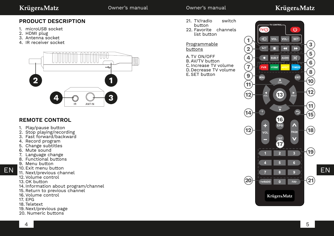### Krüger&Matz

### Owner's manual Owner's manual

## Krüger&Matz

### **PRODUCT DESCRIPTION**

- 1. microUSB socket
- 2. HDMI plug
- 3. Antenna socket
- 4. IR receiver socket



### **REMOTE CONTROL**

- 1. Play/pause button
- 2. Stop playing/recording
- 3. Fast forward/backward
- 4. Record program
- 5. Change subtitles
- 6. Mute sound
- 7. Language change
- 8. Functional buttons
- 9. Menu button
- 10. Exit menu button
- 11. Next/previous channel
- 12. Volume control
- 13. OK button
- 14. Information about program/channel
- 15. Return to previous channel
- 16. Volume control
- 17. EPG
- 18. Teletext
- 19. Next/previous page
- 20. Numeric buttons
- 21. TV/radio switch button
- 22. Favorite channels list button

#### Programmable buttons

A. TV ON/OFF B. AV/TV button C.Increase TV volume D.Decrease TV volume E. SET button

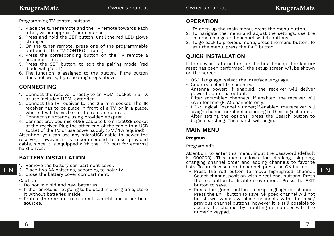#### Programming TV control buttons

- 1. Place the tuner remote and the TV remote towards each other, within approx. 4 cm distance.
- 2. Press and hold the SET button, until the red LED glows stronger.
- 3. On the tuner remote, press one of the programmable buttons (in the TV CONTROL frame).
- 4. Press the corresponding button on the TV remote a couple of times.
- 5. Press the SET button, to exit the pairing mode (red diode will go off).
- 6. The function is assigned to the button. If the button does not work, try repeating steps above.

### **CONNECTING**

- 1. Connect the receiver directly to an HDMI socket in a TV, or use included HDMI extender.
- 2. Connect the IR receiver to the 2,5 mm socket. The IR receiver has to be place in front of a TV, or in a place, where it will be visible to the remote control.
- 3. Connect an antenna using provided adapter.
- 4. Connect provided microUSB cable to the microUSB socket of the receiver. Plug the other end of the cable to a USB socket of the TV, or use power supply (5 V / 1 A required).

Attention: you can use any microUSB cable to power the receiver, however it is recommended to use provided cable, since it is equipped with the USB port for external hard drives.

### **BATTERY INSTALLATION**

- 1. Remove the battery compartment cover.
- 2. Place two AA batteries, according to polarity.
- 3. Close the battery cover compartment.

### Caution:

- Do not mix old and new batteries.
- If the remote is not going to be used in a long time, store it without batteries inside.
- Protect the remote from direct sunlight and other heat sources.

### **OPERATION**

- 1. To open up the main menu, press the menu button.
- 2. To navigate the menu and adjust the settings, use the volume change and channel switch buttons.
- 3. To go back to previous menu, press the menu button. To exit the menu, press the EXIT button.

### **QUICK INSTALLATION**

If the device is turned on for the first time (or the factory reset has been performed), the setup screen will be shown on the screen.

- OSD language: select the interface language.
- Country: select the country.
- Antenna power: if enabled, the receiver will deliver power to antenna output.
- Filter scrambled channels: if enabled, the receiver will scan for free (FTA) channels only.
- LCN: Logical Channel Number; if enabled, the receiver will assign channel numbers according to their logical order.
- After setting the options, press the Search button to begin searching. The search will begin.

### **MAIN MENU**

### **Program**

### Program edit

Attention: to enter this menu, input the password (default is 000000). This menu allows for blocking, skipping, changing channel order and adding channels to favorite lists. To preview selected channel, press the OK button.

- EN 2. Place two AA batteries, according to polarity.<br>
EN 2. Place two AA batteries, according to polarity.<br>
 Press the red button to move highlighted channel. EN Select channel position with directional buttons. Press the red button to disable move mode. Press the EXIT button to save.
	- Press the green button to skip highlighted channel. Press the EXIT button to save. Skipped channel will not be shown while switching channels with the next/ previous channel buttons, however it is still possible to access the channel by inputting its number with the numeric keypad.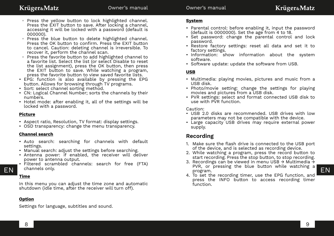- Press the yellow button to lock highlighted channel. Press the EXIT button to save. After locking a channel, accessing it will be locked with a password (default is 000000).
- Press the blue button to delete highlighted channel. Press the OK button to confirm. Press the EXIT button to cancel. Caution: deleting channel is irreversible. To recover it, perform the channel scan.
- Press the favorite button to add highlighted channel to a favorite list. Select the list (or select Disable to reset the list assignment), press the OK button, then press the EXIT button to save. While watching a program, press the favorite button to view saved favorite lists.
- EPG: function is also available by pressing the EPG button. Allows for browsing through TV programs.
- Sort: select channel sorting method.
- CN: Logical Channel Number; sorts the channels by their numbers.
- Hotel mode: after enabling it, all of the settings will be locked with a password.

#### **Picture**

- Aspect ratio, Resolution, TV format: display settings.
- OSD transparency: change the menu transparency.

#### **Channel search**

- Auto search: searching for channels with default settings.
- Manual search: adjust the settings before searching.
- Antenna power: if enabled, the receiver will deliver power to antenna output.
- Filtered scrambled channels: search for free (FTA) channels only.

### **Time**

In this menu you can adjust the time zone and automatic shutdown (idle time, after the receiver will turn off).

### **Option**

Settings for language, subtitles and sound.

#### **System**

- Parental control: before enabling it, input the password (default is  $0000000$ ). Set the age from  $4$  to 18.
- Set password: change the parental control and lock password.
- Restore factory settings: reset all data and set it to factory settings.
- Information: show information about the system software.
- Software update: update the software from USB.

#### **USB**

- Multimedia: playing movies, pictures and music from a USB disk.
- Photo/movie setting: change the settings for playing movies and pictures from a USB disk.
- PVR settings: select and format connected USB disk to use with PVR function.

#### Caution:

- USB 2.0 disks are recommended. USB drives with low parameters may not be compatible with the device.
- Large capacity USB drives may require external power supply.

### **Recording**

- 1. Make sure the flash drive is connected to the USB port of the device, and is selected as recording device.
- 2. While watching a program, press the record button to start recording. Press the stop button, to stop recording.
- EN channels only. EN EN program. 3. Recordings can be viewed in menu USB → Multimedia → PVR, or pressing the blue button while watching a program.
	- 4. To set the recording timer, use the EPG function, and press the INFO button to access recording timer function.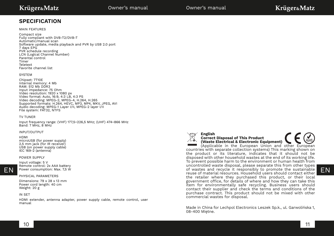### **SPECIFICATION**

#### MAIN FEATURES

Compact size Fully compliant with DVB-T2/DVB-T Automatic/manual scan Software update, media playback and PVR by USB 2.0 port 7 days EPG PVR schedule recording LCN (Logical Channel Number) Parental control Timer Teletext Favorite channel list

#### **SVSTEM**

Chipset: 7T10E Internal memory: 4 Mb RAM: 512 Mb DDR3 Input impedance: 75 Ohm Video resolution: 1920 x 1080 px Video format: Auto, 16:9, 4:3 LB, 4:3 PS Video decoding: MPEG-2, MPEG-4, H.264, H.265 Supported formats: H.264, HEVC, MP3, MP4, MKV, JPEG, AVI Audio decoding: MPEG-1 Layer I/II, MPEG-2 layer I/II File system: FAT32, NTFS

#### TV TUNER

Input frequency range: (VHF) 177,5~226,5 MHz; (UHF) 474~866 MHz Band: 7 MHz, 8 MHz

#### INPUT/OUTPUT

#### HDMI

microUSB (for power supply) 2,5 mm jack (for IR receiver) USB (on power supply cable) IEC 169-2 (antenna)

#### POWER SUPPLY



Input voltage: 5 V Remote control: 2x AAA battery Power consumption: Max. 7,5 W

#### PHYSICAL PARAMETERS

Dimensions: 79 x 28 x 13 mm Power cord length: 40 cm Weight: 20 g

#### IN SET

HDMI extender, antenna adapter, power supply cable, remote control, user manual



#### **English Correct Disposal of This Product (Waste Electrical & Electronic Equipment)**

 $EN$  Power consumption: Max. 7,5 W<br>For consumption: Max. 7,5 W<br>Feuse of material resources. Household users should contact either (Applicable in the European Union and other European countries with separate collection systems) This marking shown on the product or its literature, indicates that it should not be disposed with other household wastes at the end of its working life. To prevent possible harm to the environment or human health from uncontrolled waste disposal, please separate this from other types reuse of material resources. Household users should contact either the retailer where they purchased this product, or their local government office, for details of where and how they can take this item for environmentally safe recycling. Business users should contact their supplier and check the terms and conditions of the purchase contract. This product should not be mixed with other commercial wastes for disposal.

> Made in China for Lechpol Electronics Leszek Sp.k., ul. Garwolińska 1, 08-400 Miętne.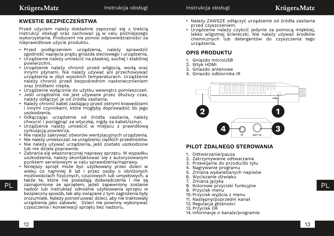### **KWESTIE BEZPIECZEŃSTWA**

Przed użyciem należy dokładnie zapoznać się z treścią instrukcji obsługi oraz zachować ją w celu późniejszego wykorzystania. Producent nie ponosi odpowiedzialności za nieprawidłowe użycie produktu.

- Przed podłączeniem urządzenia, należy sprawdzić zgodność napięcia prądu gniazda sieciowego i urządzenia.
- Urządzenie należy umieścić na płaskiej, suchej i stabilnej powierzchni.
- Urządzenie należy chronić przed wilgocią, wodą oraz innymi płynami. Nie należy używać ani przechowywać urządzenia w zbyt wysokich temperaturach. Urządzenie należy chronić przed bezpośrednim nasłonecznieniem oraz źródłami ciepła.
- Urządzenie wyłącznie do użytku wewnątrz pomieszczeń.
- Jeśli urządzenie nie jest używane przez dłuższy czas, należy odłączyć je od źródła zasilania.
- Należy chronić kabel zasilający przed ostrymi krawędziami i innymi czynnikami, które mogłyby doprowadzić do jego uszkodzenia.
- Odłączając urządzenie od źródła zasilania, należy chwycić i pociągnąć za wtyczkę, nigdy za kabel/sznur.
- Urządzenie należy umieścić w miejscu z prawidłową cyrkulacją powietrza.
- Nie należy zakrywać otworów wentylacyjnych urządzenia.
- Nie należy umieszczać na urządzeniu ciężkich przedmiotów.
- Nie należy używać urządzenia, jeśli zostało uszkodzone lub nie działa poprawnie.
- Zabrania się własnoręcznej naprawy sprzętu. W wypadku uszkodzenia, należy skontaktować się z autoryzowanym punktem serwisowym w celu sprawdzenia/naprawy.
- PL zaznajomione ze sprzętem, jeżeli zapewniony zostanie a przez przez przez kolorowe przyciski funkcyjne przez przez PL • Niniejszy sprzęt może być użytkowany przez dzieci w wieku co najmniej 8 lat i przez osoby o obniżonych możliwościach fizycznych, czuciowych lub umysłowych, a także te, które nie posiadają doświadczenia i nie są nadzór lub instruktaż odnośnie użytkowania sprzętu w bezpieczny sposób, tak aby związane z tym zagrożenia były zrozumiałe. Należy poinstruować dzieci, aby nie traktowały urządzenia jako zabawki. Dzieci nie powinny wykonywać czyszczenia i konserwacji sprzętu bez nadzoru.
- Należy ZAWSZE odłączyć urządzenie od źródła zasilania przed czyszczeniem.
- Urządzenie należy czyścić jedynie za pomocą miękkiej, lekko wilgotnej ściereczki. Nie należy używać środków chemicznych lub detergentów do czyszczenia tego urządzenia.

### **OPIS PRODUKTU**

- 1. Gniazdo microUSB
- 2. Wtyk HDMI
- 3. Gniazdo antenowe
- 4. Gniazdo odbiornika IR



### **PILOT ZDALNEGO STEROWANIA**

- 1. Odtwarzanie/pauza
- 2. Zatrzymywanie odtwarzania
- 3. Przewijanie do przodu/do tyłu
- 4. Nagrywanie programu
- 5. Zmiana wyświetlanych napisów
- 6. Wyciszanie dźwięku
- 7. Zmiana języka
- 8. Kolorowe przyciski funkcyjne
- 9. Przycisk menu
- 10. Przycisk wyjścia z menu
- 11. Następny/poprzedni kanał
- 12. Regulacja głośności
- 13. Przycisk OK
- 14. Informacje o kanale/programie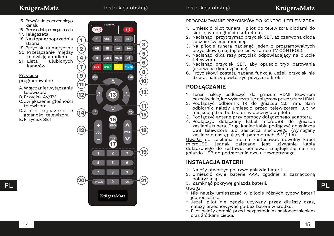### Krüger&Matz

- 15. Powrót do poprzedniego kanału
- 16. Przewodnik po programach
- 17. Telegazeta
- 18. Następna/poprzednia strona
- 19. Przyciski numeryczne 20. Przełączanie między
- telewizją a radiem<br>21. Lista ulubiony ulubionych kanałów

#### Przyciski

#### programowalne

- A.Włączanie/wyłączanie telewizora
- B. Przycisk AV/TV C.Zwiększenie głośności telewizora
- D.Z m n i e j s z e n i e głośności telewizora
- E. Przycisk SET



### PROGRAMOWANIE PRZYCISKÓW DO KONTROLI TELEWIZORA

- 1. Umieścić pilot tunera i pilot do telewizora diodami do siebie, w odległości około 4 cm.
- 2. Nacisnąć i przytrzymać przycisk SET, aż czerwona dioda zacznie świecić mocniej.
- 3. Na pilocie tunera nacisnąć jeden z programowalnych przycisków (znajdujące się w ramce TV CONTROL).
- 4. Nacisnąć kilka razy przycisk odpowiadający na pilocie telewizora.
- 5. Nacisnąć przycisk SET, aby opuścić tryb parowania (czerwona dioda zgaśnie).
- 6. Przyciskowi została nadana funkcja. Jeżeli przycisk nie działa, należy powtórzyć powyższe kroki.

### **PODŁĄCZANIE**

- 1. Tuner należy podłączyć do gniazda HDMI telewizora bezpośrednio, lub wykorzystując dołączony przedłużacz HDMI.
- 2. Podłączyć odbiornik IR do gniazda 2,5 mm. Sam odbiornik należy umieścić przed telewizorem, lub w miejscu, gdzie będzie on widoczny dla pilota.
- 3. Podłączyć antenę przy pomocy dołączonego adaptera.
- 4. Podłączyć dołączony kabel microUSB do gniazda zasilania tunera. Drugi koniec kabla podłączyć do gniazda USB telewizora lub zasilacza sieciowego (wymagany zasilacz o następujących parametrach:  $5 \overline{V}$  / 1 A).

Uwaga: do zasilania można zastosować dowolny kabel microUSB, jednak zalecane jest używanie kabla dołączonego do zestawu, ponieważ znajduje się na nim gniazdo USB do podłączenia dysku zewnętrznego.

### **INSTALACJA BATERII**

- 1. Należy otworzyć pokrywę gniazda baterii.
- 2. Umieścić dwie baterie AAA, zgodnie z zaznaczoną polaryzacją.
- 

Uwaga:

- Nie należy umieszczać w pilocie różnych typów baterii jednocześnie.
- Jeżeli pilot nie będzie używany przez dłuższy czas, należy przechowywać go bez baterii w środku.
- Pilot należy chronić przed bezpośrednim nasłonecznieniem oraz źródłami ciepła.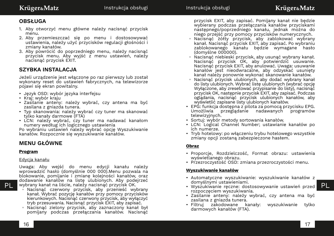### **OBSŁUGA**

- 1. Aby otworzyć menu główne należy nacisnąć przycisk menu.
- 2. Aby przemieszczać się po menu i dostosowywać ustawienia, należy użyć przycisków regulacji głośności i zmiany kanałów.
- 3. Aby powrócić do poprzedniego menu, należy nacisnąć przycisk menu. Aby wyjść z menu ustawień, należy nacisnąć przycisk EXIT.

### **SZYBKA INSTALACJA**

Jeżeli urządzenie jest włączone po raz pierwszy lub został wykonany reset do ustawień fabrycznych, na telewizorze pojawi się ekran powitalny.

- Język OSD: wybór języka interfejsu
- Kraj: wybór kraju
- Zasilanie anteny: należy wybrać, czy antena ma być zasilana z gniazda tunera.
- Typ skanowania: należy wybrać czy tuner ma skanować tylko kanały darmowe (FTA)
- LCN: należy wybrać, czy tuner ma nadawać kanałom numery według ich logicznego ustawienia

Po wybraniu ustawień należy wybrać opcję Wyszukiwanie kanałów. Rozpocznie się wyszukiwanie kanałów.

### **MENU GŁÓWNE**

### **Program**

#### Edycja kanału

Uwaga: Aby wejść do menu edycji kanału należy wprowadzić hasło (domyślnie 000 000).Menu pozwala na blokowanie, pomijanie i zmianę kolejności kanałów, oraz dodawanie kanałów na listę ulubionych. Aby podejrzeć wybrany kanał na liście, należy nacisnąć przycisk OK.

- Nacisnąć czerwony przycisk, aby przenieść wybrany kanał. Wybrać pozycję kanałów przy pomocy przycisków kierunkowych. Nacisnąć czerwony przycisk, aby wyłączyć tryb przesuwania. Nacisnąć przycisk EXIT, aby zapisać.
- Nacisnąć zielony przycisk, aby zaznaczony kanał był pomijany podczas przełączania kanałów. Nacisnąć

przycisk EXIT, aby zapisać. Pomijany kanał nie będzie wybierany podczas przełączania kanałów przyciskami następnego/poprzedniego kanału, jednak można do niego przejść przy pomocy przycisków numerycznych.

- Nacisnąć żółty przycisk, aby zablokować wybrany kanał. Nacisnąć przycisk EXIT, aby zapisać. Po wybraniu zablokowanego kanału będzie wymagane hasło (domyślne 000000).
- Nacisnąć niebieski przycisk, aby usunąć wybrany kanał. Nacisnąć przycisk OK, aby potwierdzić usuwanie. Nacisnąć przycisk EXIT, aby anulować. Uwaga: usuwanie kanałów jest nieodwracalne, aby odzyskać usunięty kanał należy ponownie wykonać skanowanie kanałów.
- Nacisnąć przycisk ulubionych, aby dodać wybrany kanał do listy ulubionych. Wybrać listę ulubionych (wybrać opcję Wyłączone, aby zresetować przypisanie do listy), nacisnąć przycisk OK, następnie przycisk EXIT, aby zapisać. Podczas oglądania, nacisnąć przycisk ulubionych kanałów, aby wyświetlić zapisane listy ulubionych kanałów.
- EPG: funkcja dostępna z pilota za pomocą przycisku EPG. Umożliwia przeglądanie nadawanych programów telewizyjnych.
- Sortuj: wybór metody sortowania kanałów.
- LCN: Logical Channel Number; ustawianie kanałów po ich numerze.
- Tryb hotelowy: po włączeniu trybu hotelowego wszystkie zmiany opcji zostaną zabezpieczone hasłem.

### **Obraz**

- Proporcje, Rozdzielczość, Format obrazu: ustawienia wyświetlanego obrazu.
- Przezroczystość OSD: zmiana przezroczystości menu.

### **Wyszukiwanie kanałów**

- Automatyczne wyszukiwanie: wyszukiwanie kanałów z domyślnymi ustawieniami.
- PL wybrany kanał na liście, należy nacisnąć przycisk OK.<br>PL wybrany kanał na liście, należy nacisnąć przycisk OK. Wyszukiwanie ręczne: dostosowywanie ustawień przed PL rozpoczęciem wyszukiwania.
	- Zasilanie anteny: należy wybrać, czy antena ma być zasilana z gniazda tunera.
	- Filtruj zakodowane kanały: wyszukiwanie tylko darmowych kanałów (FTA).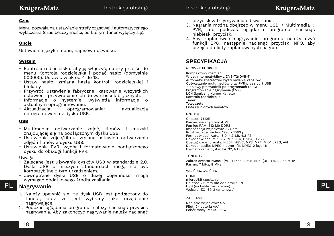#### **Czas**

Menu pozwala na ustawianie strefy czasowej i automatycznego wyłączania (czas bezczynności, po którym tuner wyłączy się).

### **Opcje**

Ustawienia języka menu, napisów i dźwięku.

#### **System**

- Kontrola rodzicielska: aby ją włączyć, należy przejść do menu Kontrola rodzicielska i podać hasło (domyślnie 000000). Ustawić wiek od 4 do 18.
- Ustaw hasło: zmiana hasła kontroli rodzicielskiej i blokady.
- Przywróć ustawienia fabryczne: kasowanie wszystkich ustawień i przywracanie ich do wartości fabrycznych.
- Informacje o systemie: wyświetla informacje o aktualnym oprogramowaniu.
- Aktualizacja oprogramowania: aktualizacja oprogramowania z dysku USB.

#### **USB**

- Multimedia: odtwarzanie zdjęć, filmów i muzyki znajdującej się na podłączonym dysku USB.
- Ustawienia zdjęć/filmu: zmiana ustawień odtwarzania zdjęć i filmów z dysku USB.
- Ustawienia PVR: wybór i formatowanie podłączonego dysku do obsługi funkcji PVR.

#### Uwaga:

- Zalecane jest używanie dysków USB w standardzie 2.0. Dyski USB o niższych standardach mogą nie być kompatybilne z tym urządzeniem.
- Zewnętrzne dyski USB o dużej pojemności mogą wymagać dodatkowego źródła zasilania.

### **Nagrywanie**

- 1. Należy upewnić się, że dysk USB jest podłączony do tunera, oraz że jest wybrany jako urządzenie nagrywające.
- 2. Podczas oglądania programu, należy nacisnąć przycisk nagrywania. Aby zakończyć nagrywanie należy nacisnąć

przycisk zatrzymywania odtwarzania.

- 3. Nagrania można obejrzeć w menu USB → Multimedia → PVR, lub podczas oglądania programu nacisnąć niebieski przycisk.
- 4. Aby zaplanować nagrywanie programu należy użyć funkcji EPG, następnie nacisnąć przycisk INFO, aby przejść do listy zaplanowanych nagrań.

### **SPECYFIKACJA**

#### GŁÓWNE FUNKCJE

Kompaktowy rozmiar W pełni kompatybilny z DVB-T2/DVB-T Automatyczne/ręczne wyszukiwanie kanałów Odtwarzanie multimediów oraz PVR przez port USB 7-dniowy przewodnik po programach (EPG) Programowanie nagrywania (PVR) LCN (Logiczny Numer Kanału) Kontrola rodzicielska Timer Telegazeta Lista ulubionych kanałów

#### SYSTEM

Chipset: 7T10E Pamięć wewnętrzna: 4 Mb Pamięć RAM: 512 Mb DDR3 Impedancja wejściowa: 75 Ohm Rozdzielczość wideo: 1920 x 1080 px Format wideo: Auto, 16:9, 4:3 LB, 4:3 PS Dekoder wideo: MPEG-2, MPEG-4, H.264, H.265 Obsługiwane formaty: H.264, HEVC, MP3, MP4, MKV, JPEG, AVI Dekoder audio: MPEG-1 Layer I/II, MPEG-2 layer I/II Formatowanie dysku: FAT32, NTFS

#### TUNER TV

Zakres częstotliwości: (VHF) 177,5~226,5 MHz; (UHF) 474~866 MHz Pasmo: 7 MHz, 8 MHz

#### WEJŚCIA/WYJŚCIA

**PL** Nagrywanie PL HDMI microUSB (zasilanie) Gniazdo 2,5 mm (do odbiornika IR) USB (na kablu zasilającym) Wejście IEC 169-2 (antenowe)

#### ZASILANIE

Napięcie wejściowe: 5 V Pilot: 2x bateria AAA Pobór mocy: Maks. 7,5 W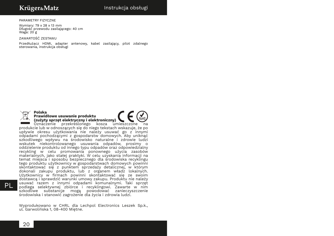#### PARAMETRY FIZYCZNE

Wymiary: 79 x 28 x 13 mm Długość przewodu zasilającego: 40 cm Waga: 20 g

ZAWARTOŚĆ ZESTAWU

Przedłużacz HDMI, adapter antenowy, kabel zasilający, pilot zdalnego sterowania, instrukcja obsługi



#### **Polska Prawidłowe usuwanie produktu (zużyty sprzęt elektryczny i elektroniczny)**

PL usuwac razem z innymi odpadami komunalnymi. Iaki sprzęt<br>PL podlega selektywnej zbiórce i recyklingowi. Zawarte w nim Oznaczenie przekreślonego kosza umieszczone na produkcie lub w odnoszących się do niego tekstach wskazuje, że po upływie okresu użytkowania nie należy usuwać go z innymi odpadami pochodzącymi z gospodarstw domowych. Aby uniknąć szkodliwego wpływu na środowisko naturalne i zdrowie ludzi wskutek niekontrolowanego usuwania odpadów, prosimy o oddzielenie produktu od innego typu odpadów oraz odpowiedzialny recykling w celu promowania ponownego użycia zasobów materialnych, jako stałej praktyki. W celu uzyskania informacji na temat miejsca i sposobu bezpiecznego dla środowiska recyklingu tego produktu użytkownicy w gospodarstwach domowych powinni skontaktować się z punktem sprzedaży detalicznej, w którym dokonali zakupu produktu, lub z organem władz lokalnych. Użytkownicy w firmach powinni skontaktować się ze swoim dostawcą i sprawdzić warunki umowy zakupu. Produktu nie należy usuwać razem z innymi odpadami komunalnymi. Taki sprzęt szkodliwe substancje mogą powodować zanieczyszczenie środowiska i stanowić zagrożenie dla życia i zdrowia ludzi.